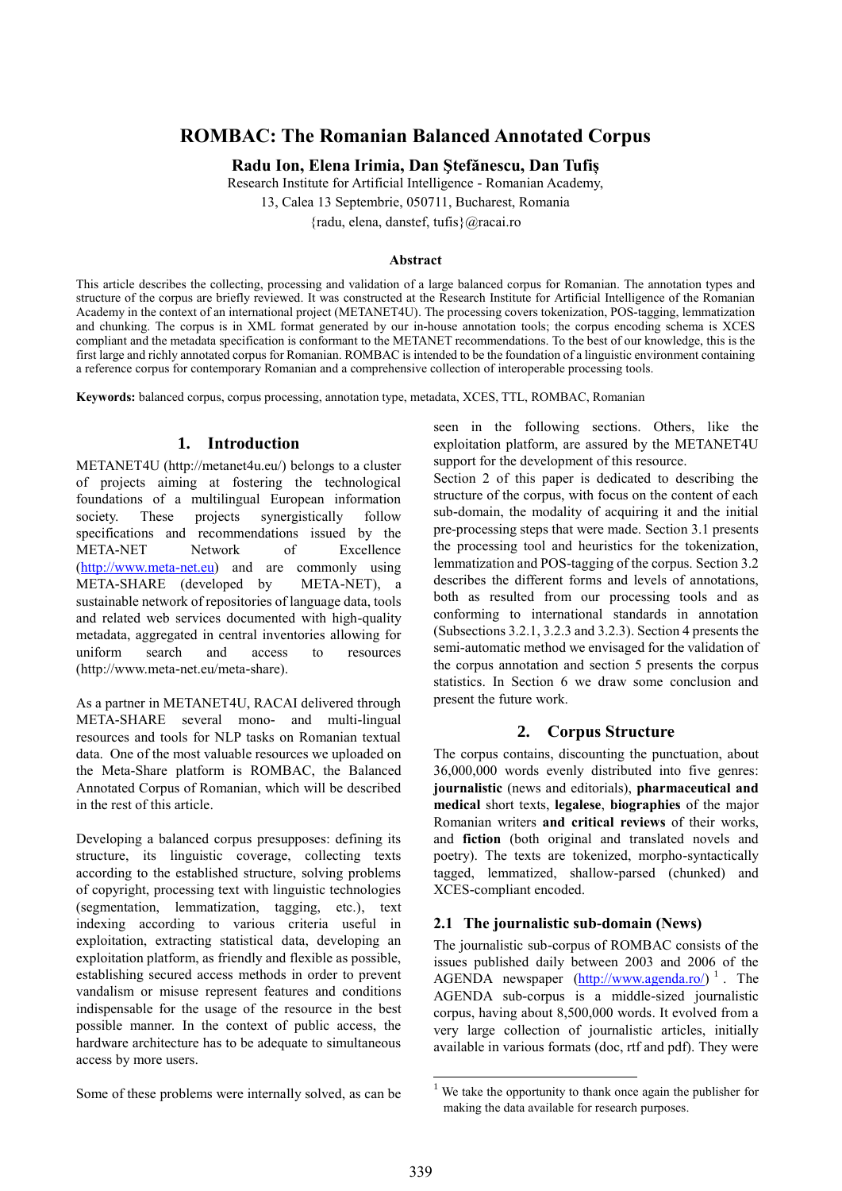# **ROMBAC: The Romanian Balanced Annotated Corpus**

**Radu Ion, Elena Irimia, Dan Ştefănescu, Dan Tufiș**

Research Institute for Artificial Intelligence - Romanian Academy,

13, Calea 13 Septembrie, 050711, Bucharest, Romania

{radu, elena, danstef, tufis}@racai.ro

#### **Abstract**

This article describes the collecting, processing and validation of a large balanced corpus for Romanian. The annotation types and structure of the corpus are briefly reviewed. It was constructed at the Research Institute for Artificial Intelligence of the Romanian Academy in the context of an international project (METANET4U). The processing covers tokenization, POS-tagging, lemmatization and chunking. The corpus is in XML format generated by our in-house annotation tools; the corpus encoding schema is XCES compliant and the metadata specification is conformant to the METANET recommendations. To the best of our knowledge, this is the first large and richly annotated corpus for Romanian. ROMBAC is intended to be the foundation of a linguistic environment containing a reference corpus for contemporary Romanian and a comprehensive collection of interoperable processing tools.

**Keywords:** balanced corpus, corpus processing, annotation type, metadata, XCES, TTL, ROMBAC, Romanian

### **1. Introduction**

METANET4U (http://metanet4u.eu/) belongs to a cluster of projects aiming at fostering the technological foundations of a multilingual European information society. These projects synergistically follow specifications and recommendations issued by the META-NET Network of Excellence [\(http://www.meta-net.eu\)](http://www.meta-net.eu/) and are commonly using META-SHARE (developed by META-NET), a sustainable network of repositories of language data, tools and related web services documented with high-quality metadata, aggregated in central inventories allowing for uniform search and access to resources (http://www.meta-net.eu/meta-share).

As a partner in METANET4U, RACAI delivered through META-SHARE several mono- and multi-lingual resources and tools for NLP tasks on Romanian textual data. One of the most valuable resources we uploaded on the Meta-Share platform is ROMBAC, the Balanced Annotated Corpus of Romanian, which will be described in the rest of this article.

Developing a balanced corpus presupposes: defining its structure, its linguistic coverage, collecting texts according to the established structure, solving problems of copyright, processing text with linguistic technologies (segmentation, lemmatization, tagging, etc.), text indexing according to various criteria useful in exploitation, extracting statistical data, developing an exploitation platform, as friendly and flexible as possible, establishing secured access methods in order to prevent vandalism or misuse represent features and conditions indispensable for the usage of the resource in the best possible manner. In the context of public access, the hardware architecture has to be adequate to simultaneous access by more users.

seen in the following sections. Others, like the exploitation platform, are assured by the METANET4U support for the development of this resource.

Section 2 of this paper is dedicated to describing the structure of the corpus, with focus on the content of each sub-domain, the modality of acquiring it and the initial pre-processing steps that were made. Section 3.1 presents the processing tool and heuristics for the tokenization, lemmatization and POS-tagging of the corpus. Section 3.2 describes the different forms and levels of annotations, both as resulted from our processing tools and as conforming to international standards in annotation (Subsections 3.2.1, 3.2.3 and 3.2.3). Section 4 presents the semi-automatic method we envisaged for the validation of the corpus annotation and section 5 presents the corpus statistics. In Section 6 we draw some conclusion and present the future work.

### **2. Corpus Structure**

The corpus contains, discounting the punctuation, about 36,000,000 words evenly distributed into five genres: **journalistic** (news and editorials), **pharmaceutical and medical** short texts, **legalese**, **biographies** of the major Romanian writers **and critical reviews** of their works, and **fiction** (both original and translated novels and poetry). The texts are tokenized, morpho-syntactically tagged, lemmatized, shallow-parsed (chunked) and XCES-compliant encoded.

### **2.1 The journalistic sub-domain (News)**

The journalistic sub-corpus of ROMBAC consists of the issues published daily between 2003 and 2006 of the AGENDA newspaper  $(\frac{http://www.agenda.ro/}{})$ <sup>1</sup>. The AGENDA sub-corpus is a middle-sized journalistic corpus, having about 8,500,000 words. It evolved from a very large collection of journalistic articles, initially available in various formats (doc, rtf and pdf). They were

Some of these problems were internally solved, as can be

1

We take the opportunity to thank once again the publisher for making the data available for research purposes.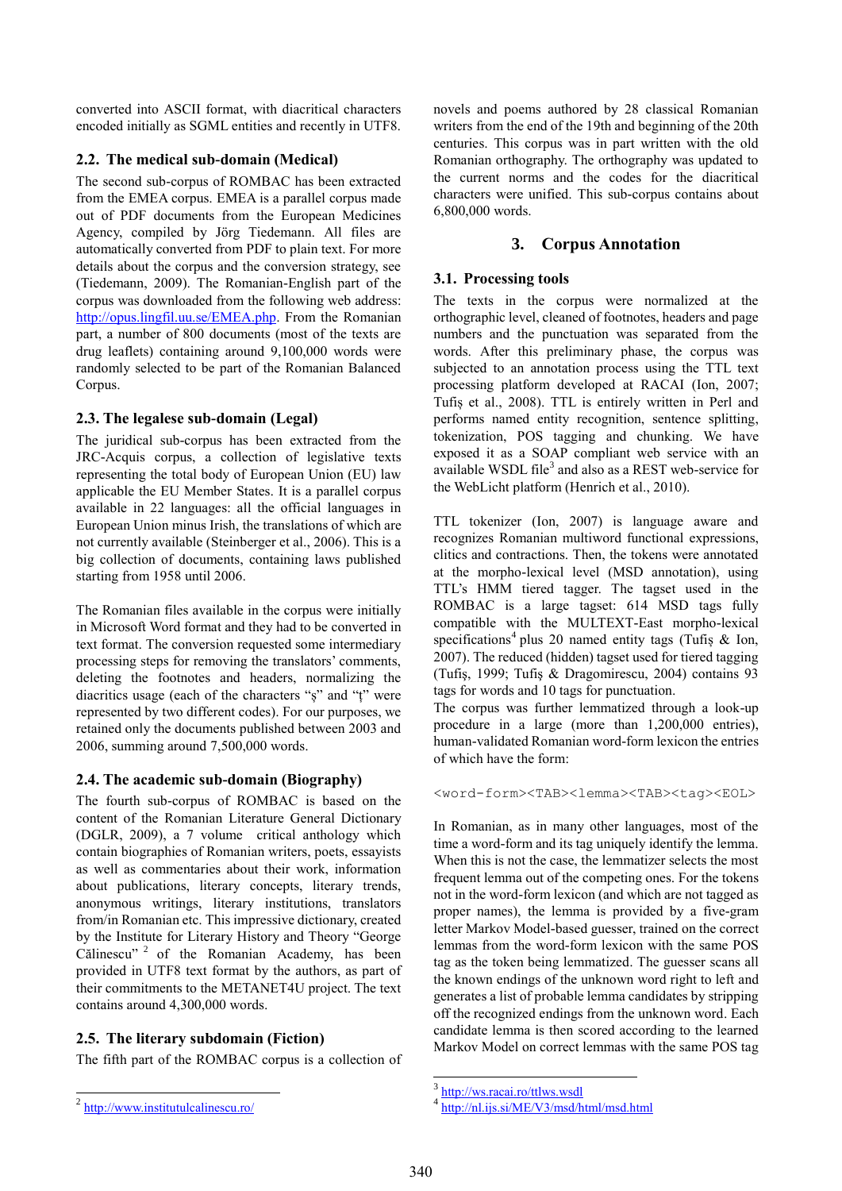converted into ASCII format, with diacritical characters encoded initially as SGML entities and recently in UTF8.

### **2.2. The medical sub-domain (Medical)**

The second sub-corpus of ROMBAC has been extracted from the EMEA corpus. EMEA is a parallel corpus made out of PDF documents from the European Medicines Agency, compiled by Jörg Tiedemann. All files are automatically converted from PDF to plain text. For more details about the corpus and the conversion strategy, see (Tiedemann, 2009). The Romanian-English part of the corpus was downloaded from the following web address: [http://opus.lingfil.uu.se/EMEA.php.](http://opus.lingfil.uu.se/EMEA.php) From the Romanian part, a number of 800 documents (most of the texts are drug leaflets) containing around 9,100,000 words were randomly selected to be part of the Romanian Balanced Corpus.

### **2.3. The legalese sub-domain (Legal)**

The juridical sub-corpus has been extracted from the JRC-Acquis corpus, a collection of legislative texts representing the total body of European Union (EU) law applicable the EU Member States. It is a parallel corpus available in 22 languages: all the official languages in European Union minus Irish, the translations of which are not currently available (Steinberger et al., 2006). This is a big collection of documents, containing laws published starting from 1958 until 2006.

The Romanian files available in the corpus were initially in Microsoft Word format and they had to be converted in text format. The conversion requested some intermediary processing steps for removing the translators' comments, deleting the footnotes and headers, normalizing the diacritics usage (each of the characters "ș" and "ț" were represented by two different codes). For our purposes, we retained only the documents published between 2003 and 2006, summing around 7,500,000 words.

### **2.4. The academic sub-domain (Biography)**

The fourth sub-corpus of ROMBAC is based on the content of the Romanian Literature General Dictionary (DGLR, 2009), a 7 volume critical anthology which contain biographies of Romanian writers, poets, essayists as well as commentaries about their work, information about publications, literary concepts, literary trends, anonymous writings, literary institutions, translators from/in Romanian etc. This impressive dictionary, created by the Institute for Literary History and Theory "George Călinescu"<sup>2</sup> of the Romanian Academy, has been provided in UTF8 text format by the authors, as part of their commitments to the METANET4U project. The text contains around 4,300,000 words.

### **2.5. The literary subdomain (Fiction)**

The fifth part of the ROMBAC corpus is a collection of

novels and poems authored by 28 classical Romanian writers from the end of the 19th and beginning of the 20th centuries. This corpus was in part written with the old Romanian orthography. The orthography was updated to the current norms and the codes for the diacritical characters were unified. This sub-corpus contains about 6,800,000 words.

## **3. Corpus Annotation**

### **3.1. Processing tools**

The texts in the corpus were normalized at the orthographic level, cleaned of footnotes, headers and page numbers and the punctuation was separated from the words. After this preliminary phase, the corpus was subjected to an annotation process using the TTL text processing platform developed at RACAI (Ion, 2007; Tufiș et al., 2008). TTL is entirely written in Perl and performs named entity recognition, sentence splitting, tokenization, POS tagging and chunking. We have exposed it as a SOAP compliant web service with an available WSDL file<sup>3</sup> and also as a REST web-service for the WebLicht platform (Henrich et al., 2010).

TTL tokenizer (Ion, 2007) is language aware and recognizes Romanian multiword functional expressions, clitics and contractions. Then, the tokens were annotated at the morpho-lexical level (MSD annotation), using TTL's HMM tiered tagger. The tagset used in the ROMBAC is a large tagset: 614 MSD tags fully compatible with the MULTEXT-East morpho-lexical specifications<sup>4</sup> plus 20 named entity tags (Tufiș & Ion, 2007). The reduced (hidden) tagset used for tiered tagging (Tufiş, 1999; Tufiş & Dragomirescu, 2004) contains 93 tags for words and 10 tags for punctuation.

The corpus was further lemmatized through a look-up procedure in a large (more than 1,200,000 entries), human-validated Romanian word-form lexicon the entries of which have the form:

<word-form><TAB><lemma><TAB><tag><EOL>

In Romanian, as in many other languages, most of the time a word-form and its tag uniquely identify the lemma. When this is not the case, the lemmatizer selects the most frequent lemma out of the competing ones. For the tokens not in the word-form lexicon (and which are not tagged as proper names), the lemma is provided by a five-gram letter Markov Model-based guesser, trained on the correct lemmas from the word-form lexicon with the same POS tag as the token being lemmatized. The guesser scans all the known endings of the unknown word right to left and generates a list of probable lemma candidates by stripping off the recognized endings from the unknown word. Each candidate lemma is then scored according to the learned Markov Model on correct lemmas with the same POS tag

1

<sup>3</sup> <http://ws.racai.ro/ttlws.wsdl>

<sup>4</sup> <http://nl.ijs.si/ME/V3/msd/html/msd.html>

 $2 \frac{\text{http://www.institutulcalinescu.ro/}}{$  $2 \frac{\text{http://www.institutulcalinescu.ro/}}{$  $2 \frac{\text{http://www.institutulcalinescu.ro/}}{$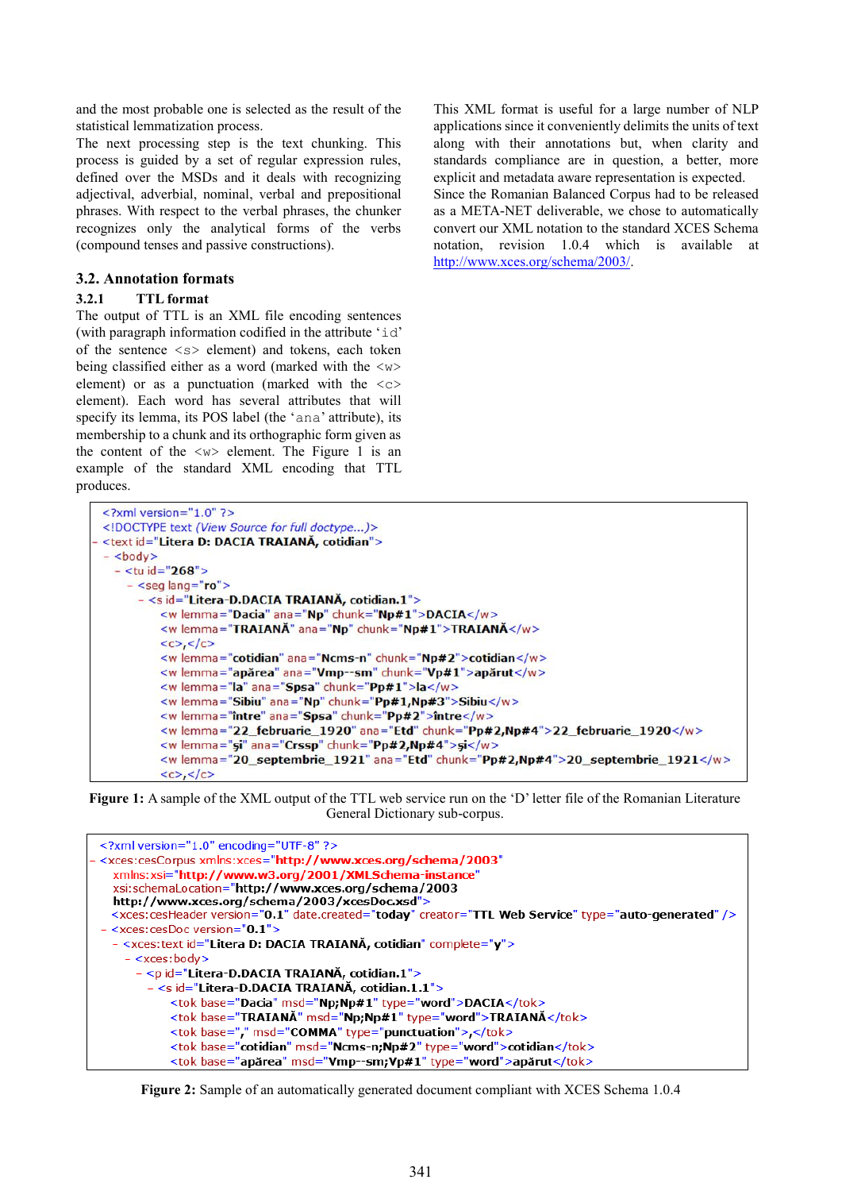and the most probable one is selected as the result of the statistical lemmatization process.

The next processing step is the text chunking. This process is guided by a set of regular expression rules, defined over the MSDs and it deals with recognizing adjectival, adverbial, nominal, verbal and prepositional phrases. With respect to the verbal phrases, the chunker recognizes only the analytical forms of the verbs (compound tenses and passive constructions).

#### **3.2. Annotation formats**

#### **3.2.1 TTL format**

The output of TTL is an XML file encoding sentences (with paragraph information codified in the attribute 'id' of the sentence  $\langle s \rangle$  element) and tokens, each token being classified either as a word (marked with the  $\langle w \rangle$ element) or as a punctuation (marked with the  $\langle c \rangle$ element). Each word has several attributes that will specify its lemma, its POS label (the 'ana' attribute), its membership to a chunk and its orthographic form given as the content of the  $\langle w \rangle$  element. The Figure 1 is an example of the standard XML encoding that TTL produces.

This XML format is useful for a large number of NLP applications since it conveniently delimits the units of text along with their annotations but, when clarity and standards compliance are in question, a better, more explicit and metadata aware representation is expected. Since the Romanian Balanced Corpus had to be released as a META-NET deliverable, we chose to automatically convert our XML notation to the standard XCES Schema notation, revision 1.0.4 which is available at

[http://www.xces.org/schema/2003/.](http://www.xces.org/schema/2003/)

 $\leq$ ?xml version="1.0" ?> <!DOCTYPE text (View Source for full doctype...)> <text id="Litera D: DACIA TRAIANĂ, cotidian">  $-$  <br/>body>  $-$  <tu id="268"> - <seg lang="ro"> - <s id="Litera-D.DACIA TRAIANĂ, cotidian.1"> <w lemma="Dacia" ana="Np" chunk="Np#1">DACIA</w> <w lemma="TRAIANĂ" ana="Np" chunk="Np#1">TRAIANĂ</w>  $<,$ <w lemma="cotidian" ana="Ncms-n" chunk="Np#2">cotidian</w> <w lemma="apărea" ana="Vmp--sm" chunk="Vp#1">apărut</w> <w lemma="la" ana="Spsa" chunk="Pp#1">la</w> <w lemma="Sibiu" ana="Np" chunk="Pp#1,Np#3">Sibiu</w> <w lemma="între" ana="Spsa" chunk="Pp#2">între</w> <w lemma="22\_februarie\_1920" ana="Etd" chunk="Pp#2,Np#4">22\_februarie\_1920</w> <w lemma="si" ana="Crssp" chunk="Pp#2,Np#4">si</w> <w lemma="20\_septembrie\_1921" ana="Etd" chunk="Pp#2,Np#4">20\_septembrie\_1921</w>  $\langle c \rangle$ ,  $\langle c \rangle$ 

**Figure 1:** A sample of the XML output of the TTL web service run on the 'D' letter file of the Romanian Literature General Dictionary sub-corpus.



**Figure 2:** Sample of an automatically generated document compliant with XCES Schema 1.0.4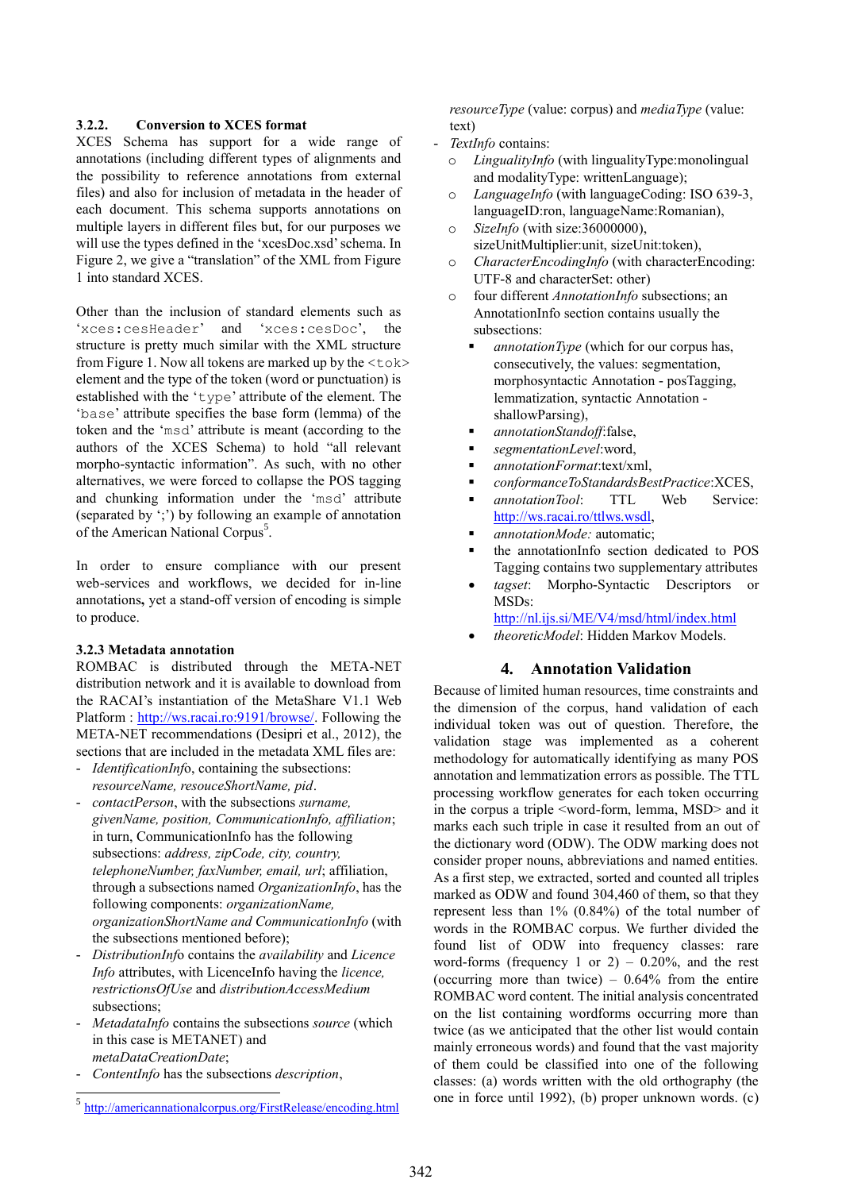#### **3**.**2.2. Conversion to XCES format**

XCES Schema has support for a wide range of annotations (including different types of alignments and the possibility to reference annotations from external files) and also for inclusion of metadata in the header of each document. This schema supports annotations on multiple layers in different files but, for our purposes we will use the types defined in the 'xcesDoc.xsd' schema. In Figure 2, we give a "translation" of the XML from Figure 1 into standard XCES.

Other than the inclusion of standard elements such as 'xces:cesHeader' and 'xces:cesDoc', the structure is pretty much similar with the XML structure from Figure 1. Now all tokens are marked up by the  $ltb$ element and the type of the token (word or punctuation) is established with the 'type' attribute of the element. The 'base' attribute specifies the base form (lemma) of the token and the 'msd' attribute is meant (according to the authors of the XCES Schema) to hold "all relevant morpho-syntactic information". As such, with no other alternatives, we were forced to collapse the POS tagging and chunking information under the 'msd' attribute (separated by ';') by following an example of annotation of the American National Corpus<sup>5</sup>.

In order to ensure compliance with our present web-services and workflows, we decided for in-line annotations**,** yet a stand-off version of encoding is simple to produce.

#### **3.2.3 Metadata annotation**

ROMBAC is distributed through the META-NET distribution network and it is available to download from the RACAI's instantiation of the MetaShare V1.1 Web Platform : [http://ws.racai.ro:9191/browse/.](http://ws.racai.ro:9191/browse/) Following the META-NET recommendations (Desipri et al., 2012), the sections that are included in the metadata XML files are:

- *IdentificationInf*o, containing the subsections: *resourceName, resouceShortName, pid*.
- *contactPerson*, with the subsections *surname, givenName, position, CommunicationInfo, affiliation*; in turn, CommunicationInfo has the following subsections: *address, zipCode, city, country, telephoneNumber, faxNumber, email, url*; affiliation, through a subsections named *OrganizationInfo*, has the following components: *organizationName, organizationShortName and CommunicationInfo* (with the subsections mentioned before);
- *DistributionInf*o contains the *availability* and *Licence Info* attributes, with LicenceInfo having the *licence, restrictionsOfUse* and *distributionAccessMedium* subsections;
- *MetadataInfo* contains the subsections *source* (which in this case is METANET) and *metaDataCreationDate*;
- *ContentInfo* has the subsections *description*,

l

*resourceType* (value: corpus) and *mediaType* (value: text)

- *TextInfo* contains:
	- o *LingualityInfo* (with lingualityType:monolingual and modalityType: writtenLanguage);
	- o *LanguageInfo* (with languageCoding: ISO 639-3, languageID:ron, languageName:Romanian),
	- o *SizeInfo* (with size:36000000), sizeUnitMultiplier:unit, sizeUnit:token),
	- o *CharacterEncodingInfo* (with characterEncoding: UTF-8 and characterSet: other)
	- o four different *AnnotationInfo* subsections; an AnnotationInfo section contains usually the subsections:
		- *annotationType* (which for our corpus has, consecutively, the values: segmentation, morphosyntactic Annotation - posTagging, lemmatization, syntactic Annotation shallowParsing),
		- *annotationStandoff*:false,
		- *segmentationLevel*:word,
		- *annotationFormat*:text/xml,
		- *conformanceToStandardsBestPractice*:XCES,
		- *annotationTool*: TTL Web Service: [http://ws.racai.ro/ttlws.wsdl,](http://ws.racai.ro/ttlws.wsdl)
		- *annotationMode:* automatic;
		- the annotationInfo section dedicated to POS Tagging contains two supplementary attributes
		- *tagset*: Morpho-Syntactic Descriptors or MSDs:

<http://nl.ijs.si/ME/V4/msd/html/index.html>

*theoreticModel*: Hidden Markov Models.

### **4. Annotation Validation**

Because of limited human resources, time constraints and the dimension of the corpus, hand validation of each individual token was out of question. Therefore, the validation stage was implemented as a coherent methodology for automatically identifying as many POS annotation and lemmatization errors as possible. The TTL processing workflow generates for each token occurring in the corpus a triple <word-form, lemma, MSD> and it marks each such triple in case it resulted from an out of the dictionary word (ODW). The ODW marking does not consider proper nouns, abbreviations and named entities. As a first step, we extracted, sorted and counted all triples marked as ODW and found 304,460 of them, so that they represent less than 1% (0.84%) of the total number of words in the ROMBAC corpus. We further divided the found list of ODW into frequency classes: rare word-forms (frequency 1 or 2) –  $0.20\%$ , and the rest (occurring more than twice)  $-0.64\%$  from the entire ROMBAC word content. The initial analysis concentrated on the list containing wordforms occurring more than twice (as we anticipated that the other list would contain mainly erroneous words) and found that the vast majority of them could be classified into one of the following classes: (a) words written with the old orthography (the one in force until 1992), (b) proper unknown words. (c)

<sup>5</sup> <http://americannationalcorpus.org/FirstRelease/encoding.html>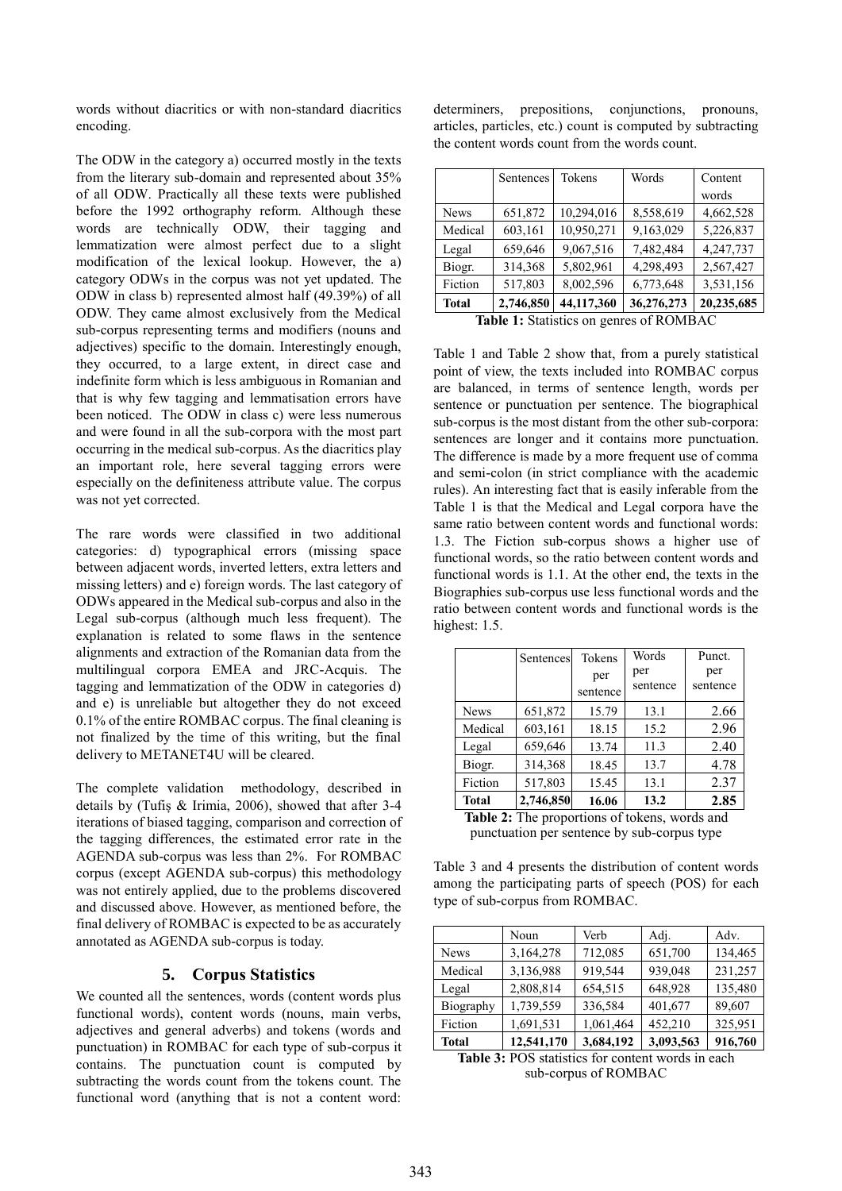words without diacritics or with non-standard diacritics encoding.

The ODW in the category a) occurred mostly in the texts from the literary sub-domain and represented about 35% of all ODW. Practically all these texts were published before the 1992 orthography reform. Although these words are technically ODW, their tagging and lemmatization were almost perfect due to a slight modification of the lexical lookup. However, the a) category ODWs in the corpus was not yet updated. The ODW in class b) represented almost half (49.39%) of all ODW. They came almost exclusively from the Medical sub-corpus representing terms and modifiers (nouns and adjectives) specific to the domain. Interestingly enough, they occurred, to a large extent, in direct case and indefinite form which is less ambiguous in Romanian and that is why few tagging and lemmatisation errors have been noticed. The ODW in class c) were less numerous and were found in all the sub-corpora with the most part occurring in the medical sub-corpus. As the diacritics play an important role, here several tagging errors were especially on the definiteness attribute value. The corpus was not yet corrected.

The rare words were classified in two additional categories: d) typographical errors (missing space between adjacent words, inverted letters, extra letters and missing letters) and e) foreign words. The last category of ODWs appeared in the Medical sub-corpus and also in the Legal sub-corpus (although much less frequent). The explanation is related to some flaws in the sentence alignments and extraction of the Romanian data from the multilingual corpora EMEA and JRC-Acquis. The tagging and lemmatization of the ODW in categories d) and e) is unreliable but altogether they do not exceed 0.1% of the entire ROMBAC corpus. The final cleaning is not finalized by the time of this writing, but the final delivery to METANET4U will be cleared.

The complete validation methodology, described in details by (Tufiș & Irimia, 2006), showed that after 3-4 iterations of biased tagging, comparison and correction of the tagging differences, the estimated error rate in the AGENDA sub-corpus was less than 2%. For ROMBAC corpus (except AGENDA sub-corpus) this methodology was not entirely applied, due to the problems discovered and discussed above. However, as mentioned before, the final delivery of ROMBAC is expected to be as accurately annotated as AGENDA sub-corpus is today.

#### **5. Corpus Statistics**

We counted all the sentences, words (content words plus functional words), content words (nouns, main verbs, adjectives and general adverbs) and tokens (words and punctuation) in ROMBAC for each type of sub-corpus it contains. The punctuation count is computed by subtracting the words count from the tokens count. The functional word (anything that is not a content word: determiners, prepositions, conjunctions, pronouns, articles, particles, etc.) count is computed by subtracting the content words count from the words count.

|                                           | Sentences | Tokens     | Words      | Content    |
|-------------------------------------------|-----------|------------|------------|------------|
|                                           |           |            |            | words      |
| <b>News</b>                               | 651,872   | 10,294,016 | 8,558,619  | 4,662,528  |
| Medical                                   | 603,161   | 10,950,271 | 9,163,029  | 5,226,837  |
| Legal                                     | 659,646   | 9,067,516  | 7,482,484  | 4,247,737  |
| Biogr.                                    | 314,368   | 5,802,961  | 4,298,493  | 2,567,427  |
| Fiction                                   | 517,803   | 8,002,596  | 6,773,648  | 3,531,156  |
| <b>Total</b>                              | 2,746,850 | 44,117,360 | 36,276,273 | 20,235,685 |
| $Table 1.$ Statistics on genros of DOMDAC |           |            |            |            |

**Table 1:** Statistics on genres of ROMBAC

Table 1 and Table 2 show that, from a purely statistical point of view, the texts included into ROMBAC corpus are balanced, in terms of sentence length, words per sentence or punctuation per sentence. The biographical sub-corpus is the most distant from the other sub-corpora: sentences are longer and it contains more punctuation. The difference is made by a more frequent use of comma and semi-colon (in strict compliance with the academic rules). An interesting fact that is easily inferable from the Table 1 is that the Medical and Legal corpora have the same ratio between content words and functional words: 1.3. The Fiction sub-corpus shows a higher use of functional words, so the ratio between content words and functional words is 1.1. At the other end, the texts in the Biographies sub-corpus use less functional words and the ratio between content words and functional words is the highest: 1.5.

|              | Sentences | Tokens   | Words    | Punct.   |
|--------------|-----------|----------|----------|----------|
|              |           | per      | per      | per      |
|              |           | sentence | sentence | sentence |
| <b>News</b>  | 651,872   | 15.79    | 13.1     | 2.66     |
| Medical      | 603,161   | 18.15    | 15.2     | 2.96     |
| Legal        | 659,646   | 13.74    | 11.3     | 2.40     |
| Biogr.       | 314,368   | 18.45    | 13.7     | 4.78     |
| Fiction      | 517,803   | 15.45    | 13.1     | 2.37     |
| <b>Total</b> | 2,746,850 | 16.06    | 13.2     | 2.85     |

**Table 2:** The proportions of tokens, words and punctuation per sentence by sub-corpus type

Table 3 and 4 presents the distribution of content words among the participating parts of speech (POS) for each type of sub-corpus from ROMBAC.

|              | Noun       | Verb      | Adj.      | Adv.    |
|--------------|------------|-----------|-----------|---------|
| <b>News</b>  | 3,164,278  | 712,085   | 651,700   | 134,465 |
| Medical      | 3,136,988  | 919,544   | 939,048   | 231,257 |
| Legal        | 2,808,814  | 654,515   | 648,928   | 135,480 |
| Biography    | 1,739,559  | 336,584   | 401,677   | 89,607  |
| Fiction      | 1,691,531  | 1,061,464 | 452,210   | 325,951 |
| <b>Total</b> | 12,541,170 | 3,684,192 | 3,093,563 | 916,760 |

**Table 3:** POS statistics for content words in each sub-corpus of ROMBAC